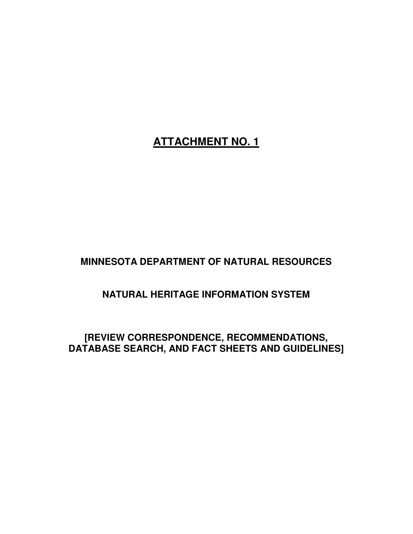# **ATTACHMENT NO. 1**

**MINNESOTA DEPARTMENT OF NATURAL RESOURCES** 

**NATURAL HERITAGE INFORMATION SYSTEM** 

**[REVIEW CORRESPONDENCE, RECOMMENDATIONS, DATABASE SEARCH, AND FACT SHEETS AND GUIDELINES]**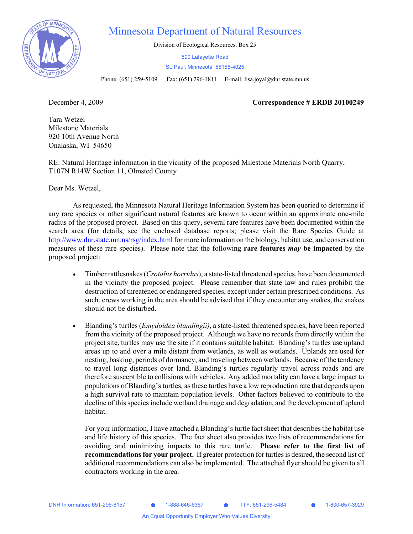

### Minnesota Department of Natural Resources

Division of Ecological Resources, Box 25

500 Lafayette Road St. Paul, Minnesota 55155-4025

Phone: (651) 259-5109 Fax: (651) 296-1811 E-mail: lisa.joyal@dnr.state.mn.us

December 4, 2009 **Correspondence # ERDB 20100249** 

Tara Wetzel Milestone Materials 920 10th Avenue North Onalaska, WI 54650

RE: Natural Heritage information in the vicinity of the proposed Milestone Materials North Quarry, T107N R14W Section 11, Olmsted County

Dear Ms. Wetzel,

As requested, the Minnesota Natural Heritage Information System has been queried to determine if any rare species or other significant natural features are known to occur within an approximate one-mile radius of the proposed project. Based on this query, several rare features have been documented within the search area (for details, see the enclosed database reports; please visit the Rare Species Guide at http://www.dnr.state.mn.us/rsg/index.html for more information on the biology, habitat use, and conservation measures of these rare species). Please note that the following **rare features** *may* **be impacted** by the proposed project:

- Timber rattlesnakes (*Crotalus horridus*), a state-listed threatened species, have been documented in the vicinity the proposed project. Please remember that state law and rules prohibit the destruction of threatened or endangered species, except under certain prescribed conditions. As such, crews working in the area should be advised that if they encounter any snakes, the snakes should not be disturbed.
- Blanding's turtles (*Emydoidea blandingii*), a state-listed threatened species, have been reported from the vicinity of the proposed project. Although we have no records from directly within the project site, turtles may use the site if it contains suitable habitat. Blanding's turtles use upland areas up to and over a mile distant from wetlands, as well as wetlands. Uplands are used for nesting, basking, periods of dormancy, and traveling between wetlands. Because of the tendency to travel long distances over land, Blanding's turtles regularly travel across roads and are therefore susceptible to collisions with vehicles. Any added mortality can have a large impact to populations of Blanding's turtles, as these turtles have a low reproduction rate that depends upon a high survival rate to maintain population levels. Other factors believed to contribute to the decline of this species include wetland drainage and degradation, and the development of upland habitat.

For your information, I have attached a Blanding's turtle fact sheet that describes the habitat use and life history of this species. The fact sheet also provides two lists of recommendations for avoiding and minimizing impacts to this rare turtle. **Please refer to the first list of recommendations for your project.** If greater protection for turtles is desired, the second list of additional recommendations can also be implemented. The attached flyer should be given to all contractors working in the area.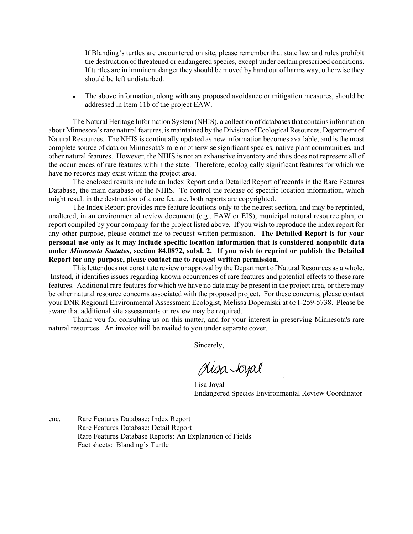If Blanding's turtles are encountered on site, please remember that state law and rules prohibit the destruction of threatened or endangered species, except under certain prescribed conditions. If turtles are in imminent danger they should be moved by hand out of harms way, otherwise they should be left undisturbed.

• The above information, along with any proposed avoidance or mitigation measures, should be addressed in Item 11b of the project EAW.

The Natural Heritage Information System (NHIS), a collection of databases that contains information about Minnesota's rare natural features, is maintained by the Division of Ecological Resources, Department of Natural Resources. The NHIS is continually updated as new information becomes available, and is the most complete source of data on Minnesota's rare or otherwise significant species, native plant communities, and other natural features. However, the NHIS is not an exhaustive inventory and thus does not represent all of the occurrences of rare features within the state. Therefore, ecologically significant features for which we have no records may exist within the project area.

The enclosed results include an Index Report and a Detailed Report of records in the Rare Features Database, the main database of the NHIS. To control the release of specific location information, which might result in the destruction of a rare feature, both reports are copyrighted.

The Index Report provides rare feature locations only to the nearest section, and may be reprinted, unaltered, in an environmental review document (e.g., EAW or EIS), municipal natural resource plan, or report compiled by your company for the project listed above. If you wish to reproduce the index report for any other purpose, please contact me to request written permission. **The Detailed Report is for your personal use only as it may include specific location information that is considered nonpublic data under** *Minnesota Statutes***, section 84.0872, subd. 2. If you wish to reprint or publish the Detailed Report for any purpose, please contact me to request written permission.** 

This letter does not constitute review or approval by the Department of Natural Resources as a whole. Instead, it identifies issues regarding known occurrences of rare features and potential effects to these rare features. Additional rare features for which we have no data may be present in the project area, or there may be other natural resource concerns associated with the proposed project. For these concerns, please contact your DNR Regional Environmental Assessment Ecologist, Melissa Doperalski at 651-259-5738. Please be aware that additional site assessments or review may be required.

Thank you for consulting us on this matter, and for your interest in preserving Minnesota's rare natural resources. An invoice will be mailed to you under separate cover.

Sincerely,

 Lisa Joyal Endangered Species Environmental Review Coordinator

enc. Rare Features Database: Index Report Rare Features Database: Detail Report Rare Features Database Reports: An Explanation of Fields Fact sheets: Blanding's Turtle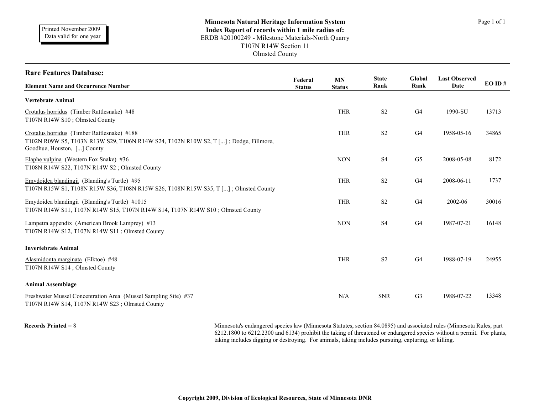| <b>Rare Features Database:</b>                                                                                                                                     |                          |                     | <b>State</b>   | Global         | <b>Last Observed</b> |       |
|--------------------------------------------------------------------------------------------------------------------------------------------------------------------|--------------------------|---------------------|----------------|----------------|----------------------|-------|
| <b>Element Name and Occurrence Number</b>                                                                                                                          | Federal<br><b>Status</b> | MN<br><b>Status</b> | Rank           | Rank           | Date                 | EOID# |
| <b>Vertebrate Animal</b>                                                                                                                                           |                          |                     |                |                |                      |       |
| Crotalus horridus (Timber Rattlesnake) #48<br>T107N R14W S10; Olmsted County                                                                                       |                          | <b>THR</b>          | S <sub>2</sub> | G4             | 1990-SU              | 13713 |
| Crotalus horridus (Timber Rattlesnake) #188<br>T102N R09W S5, T103N R13W S29, T106N R14W S24, T102N R10W S2, T []; Dodge, Fillmore,<br>Goodhue, Houston, [] County |                          | <b>THR</b>          | S <sub>2</sub> | G4             | 1958-05-16           | 34865 |
| Elaphe vulpina (Western Fox Snake) $#36$<br>T108N R14W S22, T107N R14W S2; Olmsted County                                                                          |                          | <b>NON</b>          | S <sub>4</sub> | G <sub>5</sub> | 2008-05-08           | 8172  |
| Emydoidea blandingii (Blanding's Turtle) #95<br>T107N R15W S1, T108N R15W S36, T108N R15W S26, T108N R15W S35, T []; Olmsted County                                |                          | <b>THR</b>          | S <sub>2</sub> | G <sub>4</sub> | 2008-06-11           | 1737  |
| Emydoidea blandingii (Blanding's Turtle) #1015<br>T107N R14W S11, T107N R14W S15, T107N R14W S14, T107N R14W S10; Olmsted County                                   |                          | <b>THR</b>          | S <sub>2</sub> | G4             | 2002-06              | 30016 |
| Lampetra appendix (American Brook Lamprey) #13<br>T107N R14W S12, T107N R14W S11; Olmsted County                                                                   |                          | <b>NON</b>          | S <sub>4</sub> | G4             | 1987-07-21           | 16148 |
| <b>Invertebrate Animal</b>                                                                                                                                         |                          |                     |                |                |                      |       |
| Alasmidonta marginata (Elktoe) #48<br>T107N R14W S14; Olmsted County                                                                                               |                          | <b>THR</b>          | S <sub>2</sub> | G4             | 1988-07-19           | 24955 |
| <b>Animal Assemblage</b>                                                                                                                                           |                          |                     |                |                |                      |       |
| Freshwater Mussel Concentration Area (Mussel Sampling Site) #37<br>T107N R14W S14, T107N R14W S23; Olmsted County                                                  |                          | N/A                 | <b>SNR</b>     | G <sub>3</sub> | 1988-07-22           | 13348 |

Records Printed = 8 Minnesota's endangered species law (Minnesota Statutes, section 84.0895) and associated rules (Minnesota Rules, part 6212.1800 to 6212.2300 and 6134) prohibit the taking of threatened or endangered species without a permit. For plants, taking includes digging or destroying. For animals, taking includes pursuing, capturing, or killing.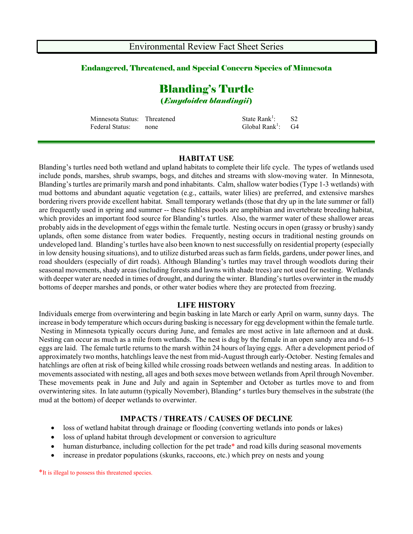#### Endangered, Threatened, and Special Concern Species of Minnesota

# Blanding's Turtle (*Emydoidea blandingii*)

| Minnesota Status: Threatened |      | State $Rank^1$ :                | <b>S2</b> |
|------------------------------|------|---------------------------------|-----------|
| Federal Status:              | none | Global Rank <sup>1</sup> : $G4$ |           |

#### **HABITAT USE**

Blanding's turtles need both wetland and upland habitats to complete their life cycle. The types of wetlands used include ponds, marshes, shrub swamps, bogs, and ditches and streams with slow-moving water. In Minnesota, Blanding's turtles are primarily marsh and pond inhabitants. Calm, shallow water bodies (Type 1-3 wetlands) with mud bottoms and abundant aquatic vegetation (e.g., cattails, water lilies) are preferred, and extensive marshes bordering rivers provide excellent habitat. Small temporary wetlands (those that dry up in the late summer or fall) are frequently used in spring and summer -- these fishless pools are amphibian and invertebrate breeding habitat, which provides an important food source for Blanding's turtles. Also, the warmer water of these shallower areas probably aids in the development of eggs within the female turtle. Nesting occurs in open (grassy or brushy) sandy uplands, often some distance from water bodies. Frequently, nesting occurs in traditional nesting grounds on undeveloped land. Blanding's turtles have also been known to nest successfully on residential property (especially in low density housing situations), and to utilize disturbed areas such as farm fields, gardens, under power lines, and road shoulders (especially of dirt roads). Although Blanding's turtles may travel through woodlots during their seasonal movements, shady areas (including forests and lawns with shade trees) are not used for nesting. Wetlands with deeper water are needed in times of drought, and during the winter. Blanding's turtles overwinter in the muddy bottoms of deeper marshes and ponds, or other water bodies where they are protected from freezing.

#### **LIFE HISTORY**

Individuals emerge from overwintering and begin basking in late March or early April on warm, sunny days. The increase in body temperature which occurs during basking is necessary for egg development within the female turtle. Nesting in Minnesota typically occurs during June, and females are most active in late afternoon and at dusk. Nesting can occur as much as a mile from wetlands. The nest is dug by the female in an open sandy area and 6-15 eggs are laid. The female turtle returns to the marsh within 24 hours of laying eggs. After a development period of approximately two months, hatchlings leave the nest from mid-August through early-October. Nesting females and hatchlings are often at risk of being killed while crossing roads between wetlands and nesting areas. In addition to movements associated with nesting, all ages and both sexes move between wetlands from April through November. These movements peak in June and July and again in September and October as turtles move to and from overwintering sites. In late autumn (typically November), Blanding's turtles bury themselves in the substrate (the mud at the bottom) of deeper wetlands to overwinter.

#### **IMPACTS / THREATS / CAUSES OF DECLINE**

- loss of wetland habitat through drainage or flooding (converting wetlands into ponds or lakes)
- loss of upland habitat through development or conversion to agriculture
- human disturbance, including collection for the pet trade<sup>\*</sup> and road kills during seasonal movements
- increase in predator populations (skunks, raccoons, etc.) which prey on nests and young

\*It is illegal to possess this threatened species.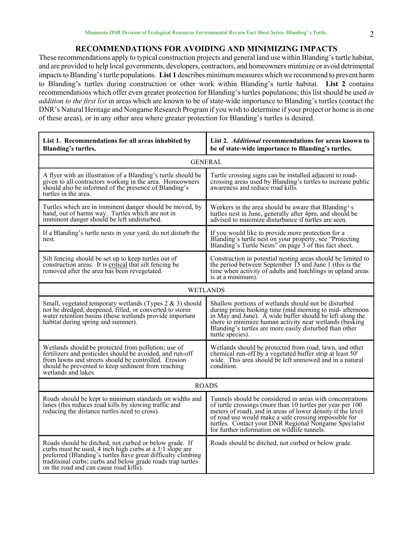#### **RECOMMENDATIONS FOR AVOIDING AND MINIMIZING IMPACTS**

These recommendations apply to typical construction projects and general land use within Blanding's turtle habitat, and are provided to help local governments, developers, contractors, and homeowners minimize or avoid detrimental impacts to Blanding's turtle populations. **List 1** describes minimum measures which we recommend to prevent harm to Blanding's turtles during construction or other work within Blanding's turtle habitat. **List 2** contains recommendations which offer even greater protection for Blanding's turtles populations; this list should be used *in addition to the first list* in areas which are known to be of state-wide importance to Blanding's turtles (contact the DNR's Natural Heritage and Nongame Research Program if you wish to determine if your project or home is in one of these areas), or in any other area where greater protection for Blanding's turtles is desired.

| List 1. Recommendations for all areas inhabited by<br><b>Blanding's turtles.</b>                                                                                                                                                                                                            | List 2. Additional recommendations for areas known to<br>be of state-wide importance to Blanding's turtles.                                                                                                                                                                                                                                              |  |  |  |  |
|---------------------------------------------------------------------------------------------------------------------------------------------------------------------------------------------------------------------------------------------------------------------------------------------|----------------------------------------------------------------------------------------------------------------------------------------------------------------------------------------------------------------------------------------------------------------------------------------------------------------------------------------------------------|--|--|--|--|
| <b>GENERAL</b>                                                                                                                                                                                                                                                                              |                                                                                                                                                                                                                                                                                                                                                          |  |  |  |  |
| A flyer with an illustration of a Blanding's turtle should be<br>given to all contractors working in the area. Homeowners<br>should also be informed of the presence of Blanding's<br>turtles in the area.                                                                                  | Turtle crossing signs can be installed adjacent to road-<br>crossing areas used by Blanding's turtles to increase public<br>awareness and reduce road kills.                                                                                                                                                                                             |  |  |  |  |
| Turtles which are in imminent danger should be moved, by<br>hand, out of harms way. Turtles which are not in<br>imminent danger should be left undisturbed.                                                                                                                                 | Workers in the area should be aware that Blanding's<br>turtles nest in June, generally after 4pm, and should be<br>advised to minimize disturbance if turtles are seen.                                                                                                                                                                                  |  |  |  |  |
| If a Blanding's turtle nests in your yard, do not disturb the<br>nest.                                                                                                                                                                                                                      | If you would like to provide more protection for a<br>Blanding's turtle nest on your property, see "Protecting<br>Blanding's Turtle Nests" on page 3 of this fact sheet.                                                                                                                                                                                 |  |  |  |  |
| Silt fencing should be set up to keep turtles out of<br>construction areas. It is critical that silt fencing be<br>removed after the area has been revegetated.                                                                                                                             | Construction in potential nesting areas should be limited to<br>the period between September 15 and June 1 (this is the<br>time when activity of adults and hatchlings in upland areas<br>is at a minimum).                                                                                                                                              |  |  |  |  |
| <b>WETLANDS</b>                                                                                                                                                                                                                                                                             |                                                                                                                                                                                                                                                                                                                                                          |  |  |  |  |
| Small, vegetated temporary wetlands (Types $2 \& 3$ ) should<br>not be dredged, deepened, filled, or converted to storm<br>water retention basins (these wetlands provide important<br>habitat during spring and summer).                                                                   | Shallow portions of wetlands should not be disturbed<br>during prime basking time (mid morning to mid-afternoon<br>in May and June). A wide buffer should be left along the<br>shore to minimize human activity near wetlands (basking<br>Blanding's turtles are more easily disturbed than other<br>turtle species).                                    |  |  |  |  |
| Wetlands should be protected from pollution; use of<br>fertilizers and pesticides should be avoided, and run-off<br>from lawns and streets should be controlled. Erosion<br>should be prevented to keep sediment from reaching<br>wetlands and lakes.                                       | Wetlands should be protected from road, lawn, and other<br>chemical run-off by a vegetated buffer strip at least 50'<br>wide. This area should be left unmowed and in a natural<br>condition.                                                                                                                                                            |  |  |  |  |
| <b>ROADS</b>                                                                                                                                                                                                                                                                                |                                                                                                                                                                                                                                                                                                                                                          |  |  |  |  |
| Roads should be kept to minimum standards on widths and<br>lanes (this reduces road kills by slowing traffic and<br>reducing the distance turtles need to cross).                                                                                                                           | Tunnels should be considered in areas with concentrations<br>of turtle crossings (more than 10 turtles per year per 100<br>meters of road), and in areas of lower density if the level<br>of road use would make a safe crossing impossible for<br>turtles. Contact your DNR Regional Nongame Specialist<br>for further information on wildlife tunnels. |  |  |  |  |
| Roads should be ditched, not curbed or below grade. If<br>curbs must be used, 4 inch high curbs at a 3:1 slope are<br>preferred (Blanding's turtles have great difficulty climbing<br>traditional curbs; curbs and below grade roads trap turtles<br>on the road and can cause road kills). | Roads should be ditched, not curbed or below grade.                                                                                                                                                                                                                                                                                                      |  |  |  |  |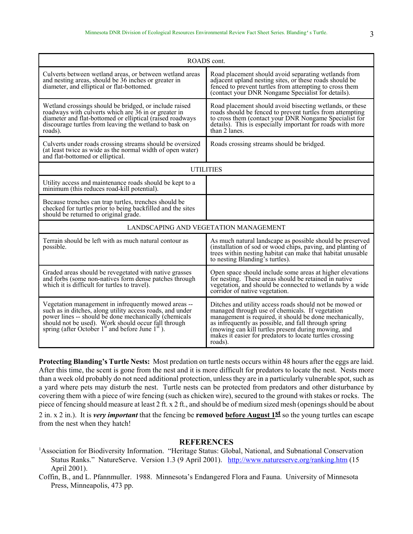| ROADS cont.                                                                                                                                                                                                                                                                               |                                                                                                                                                                                                                                                                                                                                                             |  |  |  |
|-------------------------------------------------------------------------------------------------------------------------------------------------------------------------------------------------------------------------------------------------------------------------------------------|-------------------------------------------------------------------------------------------------------------------------------------------------------------------------------------------------------------------------------------------------------------------------------------------------------------------------------------------------------------|--|--|--|
| Culverts between wetland areas, or between wetland areas<br>and nesting areas, should be 36 inches or greater in<br>diameter, and elliptical or flat-bottomed.                                                                                                                            | Road placement should avoid separating wetlands from<br>adjacent upland nesting sites, or these roads should be<br>fenced to prevent turtles from attempting to cross them<br>(contact your DNR Nongame Specialist for details).                                                                                                                            |  |  |  |
| Wetland crossings should be bridged, or include raised<br>roadways with culverts which are 36 in or greater in<br>diameter and flat-bottomed or elliptical (raised roadways<br>discourage turtles from leaving the wetland to bask on<br>roads).                                          | Road placement should avoid bisecting wetlands, or these<br>roads should be fenced to prevent turtles from attempting<br>to cross them (contact your DNR Nongame Specialist for<br>details). This is especially important for roads with more<br>than 2 lanes.                                                                                              |  |  |  |
| Culverts under roads crossing streams should be oversized<br>(at least twice as wide as the normal width of open water)<br>and flat-bottomed or elliptical.                                                                                                                               | Roads crossing streams should be bridged.                                                                                                                                                                                                                                                                                                                   |  |  |  |
| <b>UTILITIES</b>                                                                                                                                                                                                                                                                          |                                                                                                                                                                                                                                                                                                                                                             |  |  |  |
| Utility access and maintenance roads should be kept to a<br>minimum (this reduces road-kill potential).                                                                                                                                                                                   |                                                                                                                                                                                                                                                                                                                                                             |  |  |  |
| Because trenches can trap turtles, trenches should be<br>checked for turtles prior to being backfilled and the sites<br>should be returned to original grade.                                                                                                                             |                                                                                                                                                                                                                                                                                                                                                             |  |  |  |
| LANDSCAPING AND VEGETATION MANAGEMENT                                                                                                                                                                                                                                                     |                                                                                                                                                                                                                                                                                                                                                             |  |  |  |
| Terrain should be left with as much natural contour as<br>possible.                                                                                                                                                                                                                       | As much natural landscape as possible should be preserved<br>(installation of sod or wood chips, paving, and planting of<br>trees within nesting habitat can make that habitat unusable<br>to nesting Blanding's turtles).                                                                                                                                  |  |  |  |
| Graded areas should be revegetated with native grasses<br>and forbs (some non-natives form dense patches through<br>which it is difficult for turtles to travel).                                                                                                                         | Open space should include some areas at higher elevations<br>for nesting. These areas should be retained in native<br>vegetation, and should be connected to wetlands by a wide<br>corridor of native vegetation.                                                                                                                                           |  |  |  |
| Vegetation management in infrequently mowed areas --<br>such as in ditches, along utility access roads, and under<br>power lines -- should be done mechanically (chemicals<br>should not be used). Work should occur fall through<br>spring (after October $1st$ and before June $1st$ ). | Ditches and utility access roads should not be mowed or<br>managed through use of chemicals. If vegetation<br>management is required, it should be done mechanically,<br>as infrequently as possible, and fall through spring<br>(mowing can kill turtles present during mowing, and<br>makes it easier for predators to locate turtles crossing<br>roads). |  |  |  |

**Protecting Blanding's Turtle Nests:** Most predation on turtle nests occurs within 48 hours after the eggs are laid. After this time, the scent is gone from the nest and it is more difficult for predators to locate the nest. Nests more than a week old probably do not need additional protection, unless they are in a particularly vulnerable spot, such as a yard where pets may disturb the nest. Turtle nests can be protected from predators and other disturbance by covering them with a piece of wire fencing (such as chicken wire), secured to the ground with stakes or rocks. The piece of fencing should measure at least 2 ft. x 2 ft., and should be of medium sized mesh (openings should be about

2 in. x 2 in.). It is *very important* that the fencing be **removed before August 1st** so the young turtles can escape from the nest when they hatch!

#### **REFERENCES**

<sup>1</sup> Association for Biodiversity Information. "Heritage Status: Global, National, and Subnational Conservation Status Ranks." NatureServe. Version 1.3 (9 April 2001). http://www.natureserve.org/ranking.htm (15 April 2001).

Coffin, B., and L. Pfannmuller. 1988. Minnesota's Endangered Flora and Fauna. University of Minnesota Press, Minneapolis, 473 pp.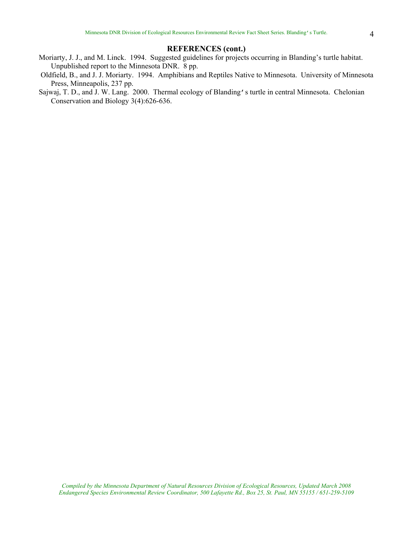#### **REFERENCES (cont.)**

- Moriarty, J. J., and M. Linck. 1994. Suggested guidelines for projects occurring in Blanding's turtle habitat. Unpublished report to the Minnesota DNR. 8 pp.
- Oldfield, B., and J. J. Moriarty. 1994. Amphibians and Reptiles Native to Minnesota. University of Minnesota Press, Minneapolis, 237 pp.
- Sajwaj, T. D., and J. W. Lang. 2000. Thermal ecology of Blanding's turtle in central Minnesota. Chelonian Conservation and Biology 3(4):626-636.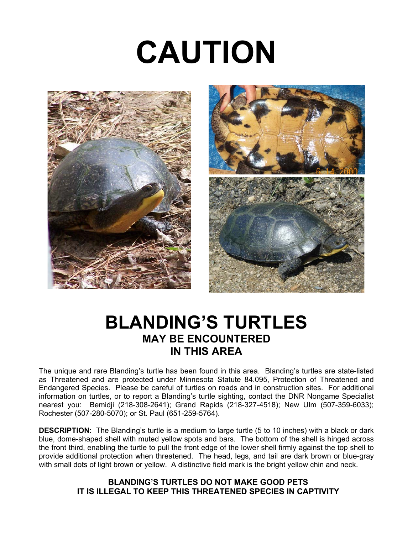# **CAUTION**





# **BLANDING'S TURTLES MAY BE ENCOUNTERED IN THIS AREA**

The unique and rare Blanding's turtle has been found in this area. Blanding's turtles are state-listed as Threatened and are protected under Minnesota Statute 84.095, Protection of Threatened and Endangered Species. Please be careful of turtles on roads and in construction sites. For additional information on turtles, or to report a Blanding's turtle sighting, contact the DNR Nongame Specialist nearest you: Bemidji (218-308-2641); Grand Rapids (218-327-4518); New Ulm (507-359-6033); Rochester (507-280-5070); or St. Paul (651-259-5764).

**DESCRIPTION**: The Blanding's turtle is a medium to large turtle (5 to 10 inches) with a black or dark blue, dome-shaped shell with muted yellow spots and bars. The bottom of the shell is hinged across the front third, enabling the turtle to pull the front edge of the lower shell firmly against the top shell to provide additional protection when threatened. The head, legs, and tail are dark brown or blue-gray with small dots of light brown or yellow. A distinctive field mark is the bright yellow chin and neck.

#### **BLANDING'S TURTLES DO NOT MAKE GOOD PETS IT IS ILLEGAL TO KEEP THIS THREATENED SPECIES IN CAPTIVITY**